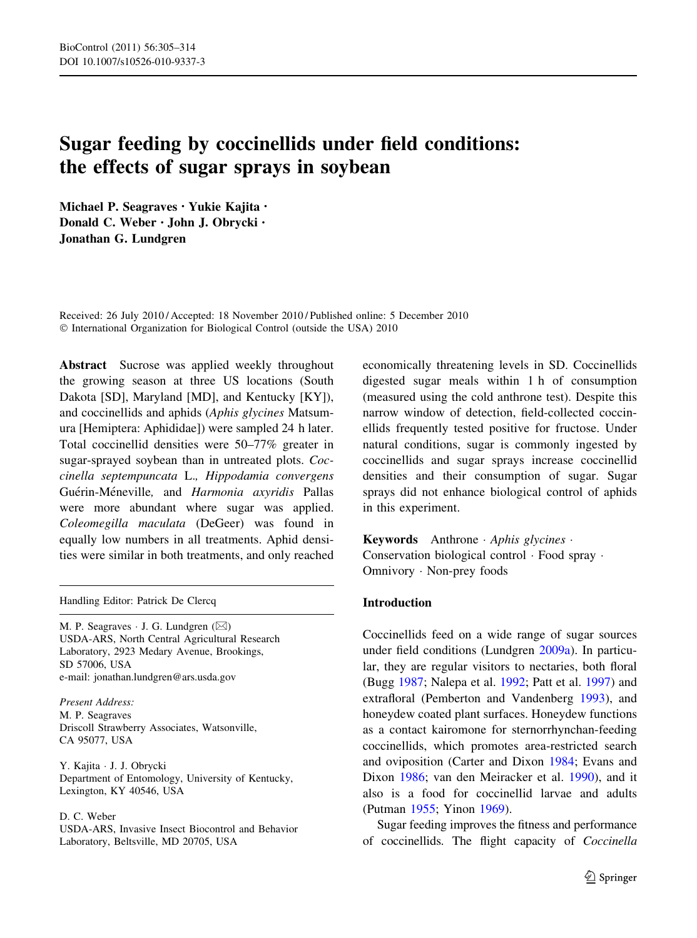# Sugar feeding by coccinellids under field conditions: the effects of sugar sprays in soybean

Michael P. Seagraves • Yukie Kajita • Donald C. Weber • John J. Obrycki • Jonathan G. Lundgren

Received: 26 July 2010 / Accepted: 18 November 2010 / Published online: 5 December 2010 © International Organization for Biological Control (outside the USA) 2010

Abstract Sucrose was applied weekly throughout the growing season at three US locations (South Dakota [SD], Maryland [MD], and Kentucky [KY]), and coccinellids and aphids (Aphis glycines Matsumura [Hemiptera: Aphididae]) were sampled 24 h later. Total coccinellid densities were 50–77% greater in sugar-sprayed soybean than in untreated plots. Coccinella septempuncata L., Hippodamia convergens Guérin-Méneville, and Harmonia axyridis Pallas were more abundant where sugar was applied. Coleomegilla maculata (DeGeer) was found in equally low numbers in all treatments. Aphid densities were similar in both treatments, and only reached

Handling Editor: Patrick De Clercq

M. P. Seagraves  $\cdot$  J. G. Lundgren ( $\boxtimes$ ) USDA-ARS, North Central Agricultural Research Laboratory, 2923 Medary Avenue, Brookings, SD 57006, USA e-mail: jonathan.lundgren@ars.usda.gov

Present Address: M. P. Seagraves Driscoll Strawberry Associates, Watsonville, CA 95077, USA

Y. Kajita - J. J. Obrycki Department of Entomology, University of Kentucky, Lexington, KY 40546, USA

#### D. C. Weber

USDA-ARS, Invasive Insect Biocontrol and Behavior Laboratory, Beltsville, MD 20705, USA

economically threatening levels in SD. Coccinellids digested sugar meals within 1 h of consumption (measured using the cold anthrone test). Despite this narrow window of detection, field-collected coccinellids frequently tested positive for fructose. Under natural conditions, sugar is commonly ingested by coccinellids and sugar sprays increase coccinellid densities and their consumption of sugar. Sugar sprays did not enhance biological control of aphids in this experiment.

Keywords Anthrone Aphis glycines -Conservation biological control - Food spray - Omnivory - Non-prey foods

# Introduction

Coccinellids feed on a wide range of sugar sources under field conditions (Lundgren [2009a\)](#page-8-0). In particular, they are regular visitors to nectaries, both floral (Bugg [1987;](#page-7-0) Nalepa et al. [1992;](#page-8-0) Patt et al. [1997\)](#page-8-0) and extrafloral (Pemberton and Vandenberg [1993](#page-8-0)), and honeydew coated plant surfaces. Honeydew functions as a contact kairomone for sternorrhynchan-feeding coccinellids, which promotes area-restricted search and oviposition (Carter and Dixon [1984](#page-7-0); Evans and Dixon [1986;](#page-7-0) van den Meiracker et al. [1990\)](#page-8-0), and it also is a food for coccinellid larvae and adults (Putman [1955](#page-8-0); Yinon [1969](#page-9-0)).

Sugar feeding improves the fitness and performance of coccinellids. The flight capacity of Coccinella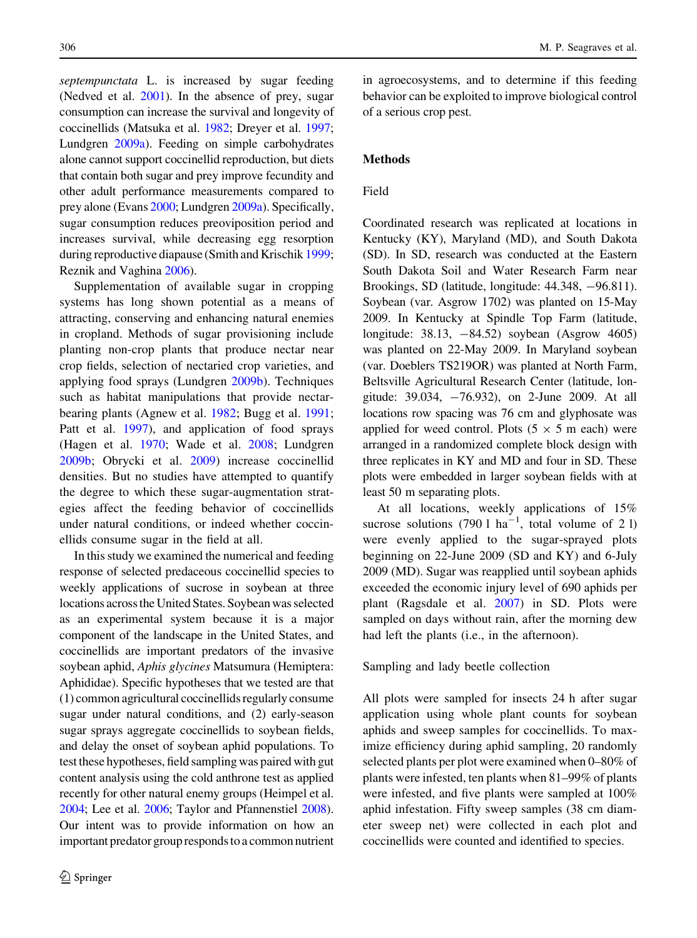septempunctata L. is increased by sugar feeding (Nedved et al. [2001\)](#page-8-0). In the absence of prey, sugar consumption can increase the survival and longevity of coccinellids (Matsuka et al. [1982;](#page-8-0) Dreyer et al. [1997](#page-7-0); Lundgren [2009a\)](#page-8-0). Feeding on simple carbohydrates alone cannot support coccinellid reproduction, but diets that contain both sugar and prey improve fecundity and other adult performance measurements compared to prey alone (Evans [2000;](#page-7-0) Lundgren [2009a](#page-8-0)). Specifically, sugar consumption reduces preoviposition period and increases survival, while decreasing egg resorption during reproductive diapause (Smith and Krischik [1999](#page-8-0); Reznik and Vaghina [2006\)](#page-8-0).

Supplementation of available sugar in cropping systems has long shown potential as a means of attracting, conserving and enhancing natural enemies in cropland. Methods of sugar provisioning include planting non-crop plants that produce nectar near crop fields, selection of nectaried crop varieties, and applying food sprays (Lundgren [2009b\)](#page-8-0). Techniques such as habitat manipulations that provide nectarbearing plants (Agnew et al. [1982](#page-7-0); Bugg et al. [1991](#page-7-0); Patt et al. [1997\)](#page-8-0), and application of food sprays (Hagen et al. [1970;](#page-8-0) Wade et al. [2008;](#page-8-0) Lundgren [2009b;](#page-8-0) Obrycki et al. [2009](#page-8-0)) increase coccinellid densities. But no studies have attempted to quantify the degree to which these sugar-augmentation strategies affect the feeding behavior of coccinellids under natural conditions, or indeed whether coccinellids consume sugar in the field at all.

In this study we examined the numerical and feeding response of selected predaceous coccinellid species to weekly applications of sucrose in soybean at three locations across the United States. Soybean was selected as an experimental system because it is a major component of the landscape in the United States, and coccinellids are important predators of the invasive soybean aphid, Aphis glycines Matsumura (Hemiptera: Aphididae). Specific hypotheses that we tested are that (1) common agricultural coccinellids regularly consume sugar under natural conditions, and (2) early-season sugar sprays aggregate coccinellids to soybean fields, and delay the onset of soybean aphid populations. To test these hypotheses, field sampling was paired with gut content analysis using the cold anthrone test as applied recently for other natural enemy groups (Heimpel et al. [2004](#page-8-0); Lee et al. [2006;](#page-8-0) Taylor and Pfannenstiel [2008](#page-8-0)). Our intent was to provide information on how an important predator group responds to a common nutrient in agroecosystems, and to determine if this feeding behavior can be exploited to improve biological control of a serious crop pest.

## **Methods**

## Field

Coordinated research was replicated at locations in Kentucky (KY), Maryland (MD), and South Dakota (SD). In SD, research was conducted at the Eastern South Dakota Soil and Water Research Farm near Brookings, SD (latitude, longitude: 44.348, -96.811). Soybean (var. Asgrow 1702) was planted on 15-May 2009. In Kentucky at Spindle Top Farm (latitude, longitude: 38.13, -84.52) soybean (Asgrow 4605) was planted on 22-May 2009. In Maryland soybean (var. Doeblers TS219OR) was planted at North Farm, Beltsville Agricultural Research Center (latitude, longitude:  $39.034$ ,  $-76.932$ ), on 2-June 2009. At all locations row spacing was 76 cm and glyphosate was applied for weed control. Plots  $(5 \times 5 \text{ m each})$  were arranged in a randomized complete block design with three replicates in KY and MD and four in SD. These plots were embedded in larger soybean fields with at least 50 m separating plots.

At all locations, weekly applications of 15% sucrose solutions (790 l  $ha^{-1}$ , total volume of 2 l) were evenly applied to the sugar-sprayed plots beginning on 22-June 2009 (SD and KY) and 6-July 2009 (MD). Sugar was reapplied until soybean aphids exceeded the economic injury level of 690 aphids per plant (Ragsdale et al. [2007](#page-8-0)) in SD. Plots were sampled on days without rain, after the morning dew had left the plants (i.e., in the afternoon).

Sampling and lady beetle collection

All plots were sampled for insects 24 h after sugar application using whole plant counts for soybean aphids and sweep samples for coccinellids. To maximize efficiency during aphid sampling, 20 randomly selected plants per plot were examined when 0–80% of plants were infested, ten plants when 81–99% of plants were infested, and five plants were sampled at 100% aphid infestation. Fifty sweep samples (38 cm diameter sweep net) were collected in each plot and coccinellids were counted and identified to species.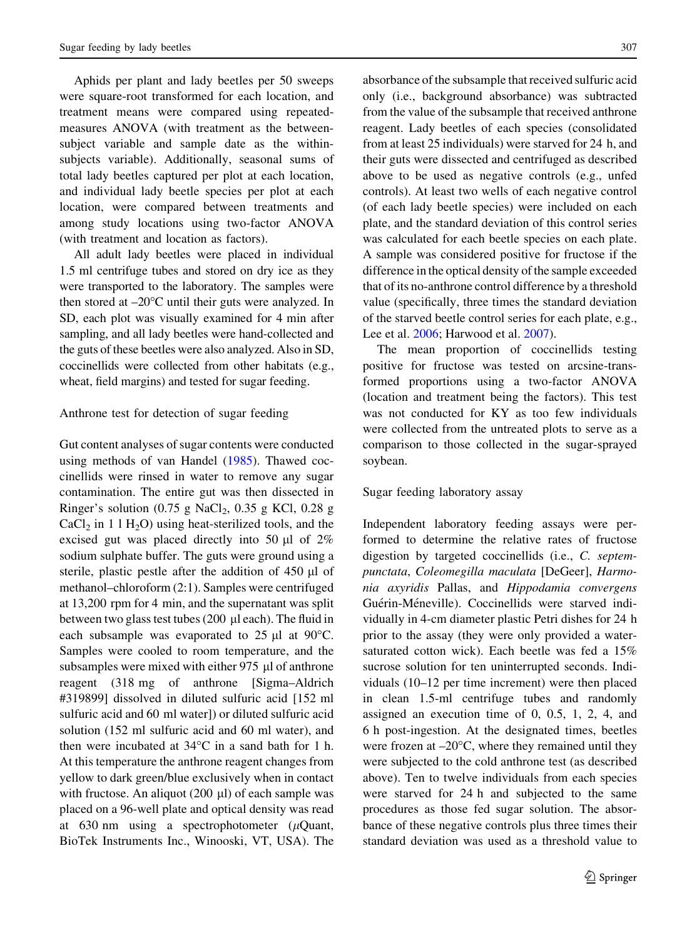Aphids per plant and lady beetles per 50 sweeps were square-root transformed for each location, and treatment means were compared using repeatedmeasures ANOVA (with treatment as the betweensubject variable and sample date as the withinsubjects variable). Additionally, seasonal sums of total lady beetles captured per plot at each location, and individual lady beetle species per plot at each location, were compared between treatments and among study locations using two-factor ANOVA (with treatment and location as factors).

All adult lady beetles were placed in individual 1.5 ml centrifuge tubes and stored on dry ice as they were transported to the laboratory. The samples were then stored at  $-20^{\circ}$ C until their guts were analyzed. In SD, each plot was visually examined for 4 min after sampling, and all lady beetles were hand-collected and the guts of these beetles were also analyzed. Also in SD, coccinellids were collected from other habitats (e.g., wheat, field margins) and tested for sugar feeding.

## Anthrone test for detection of sugar feeding

Gut content analyses of sugar contents were conducted using methods of van Handel [\(1985](#page-8-0)). Thawed coccinellids were rinsed in water to remove any sugar contamination. The entire gut was then dissected in Ringer's solution  $(0.75 \text{ g NaCl}_2, 0.35 \text{ g KCl}, 0.28 \text{ g})$  $CaCl<sub>2</sub>$  in 1 l H<sub>2</sub>O) using heat-sterilized tools, and the excised gut was placed directly into 50  $\mu$ l of 2% sodium sulphate buffer. The guts were ground using a sterile, plastic pestle after the addition of  $450 \mu l$  of methanol–chloroform (2:1). Samples were centrifuged at 13,200 rpm for 4 min, and the supernatant was split between two glass test tubes (200  $\mu$ l each). The fluid in each subsample was evaporated to  $25 \mu l$  at  $90^{\circ}$ C. Samples were cooled to room temperature, and the subsamples were mixed with either  $975 \mu$  of anthrone reagent (318 mg of anthrone [Sigma–Aldrich #319899] dissolved in diluted sulfuric acid [152 ml sulfuric acid and 60 ml water]) or diluted sulfuric acid solution (152 ml sulfuric acid and 60 ml water), and then were incubated at  $34^{\circ}$ C in a sand bath for 1 h. At this temperature the anthrone reagent changes from yellow to dark green/blue exclusively when in contact with fructose. An aliquot  $(200 \mu l)$  of each sample was placed on a 96-well plate and optical density was read at 630 nm using a spectrophotometer ( $\mu$ Quant, BioTek Instruments Inc., Winooski, VT, USA). The absorbance of the subsample that received sulfuric acid only (i.e., background absorbance) was subtracted from the value of the subsample that received anthrone reagent. Lady beetles of each species (consolidated from at least 25 individuals) were starved for 24 h, and their guts were dissected and centrifuged as described above to be used as negative controls (e.g., unfed controls). At least two wells of each negative control (of each lady beetle species) were included on each plate, and the standard deviation of this control series was calculated for each beetle species on each plate. A sample was considered positive for fructose if the difference in the optical density of the sample exceeded that of its no-anthrone control difference by a threshold value (specifically, three times the standard deviation of the starved beetle control series for each plate, e.g., Lee et al. [2006](#page-8-0); Harwood et al. [2007](#page-8-0)).

The mean proportion of coccinellids testing positive for fructose was tested on arcsine-transformed proportions using a two-factor ANOVA (location and treatment being the factors). This test was not conducted for KY as too few individuals were collected from the untreated plots to serve as a comparison to those collected in the sugar-sprayed soybean.

## Sugar feeding laboratory assay

Independent laboratory feeding assays were performed to determine the relative rates of fructose digestion by targeted coccinellids (i.e., C. septempunctata, Coleomegilla maculata [DeGeer], Harmonia axyridis Pallas, and Hippodamia convergens Guérin-Méneville). Coccinellids were starved individually in 4-cm diameter plastic Petri dishes for 24 h prior to the assay (they were only provided a watersaturated cotton wick). Each beetle was fed a 15% sucrose solution for ten uninterrupted seconds. Individuals (10–12 per time increment) were then placed in clean 1.5-ml centrifuge tubes and randomly assigned an execution time of 0, 0.5, 1, 2, 4, and 6 h post-ingestion. At the designated times, beetles were frozen at  $-20^{\circ}$ C, where they remained until they were subjected to the cold anthrone test (as described above). Ten to twelve individuals from each species were starved for 24 h and subjected to the same procedures as those fed sugar solution. The absorbance of these negative controls plus three times their standard deviation was used as a threshold value to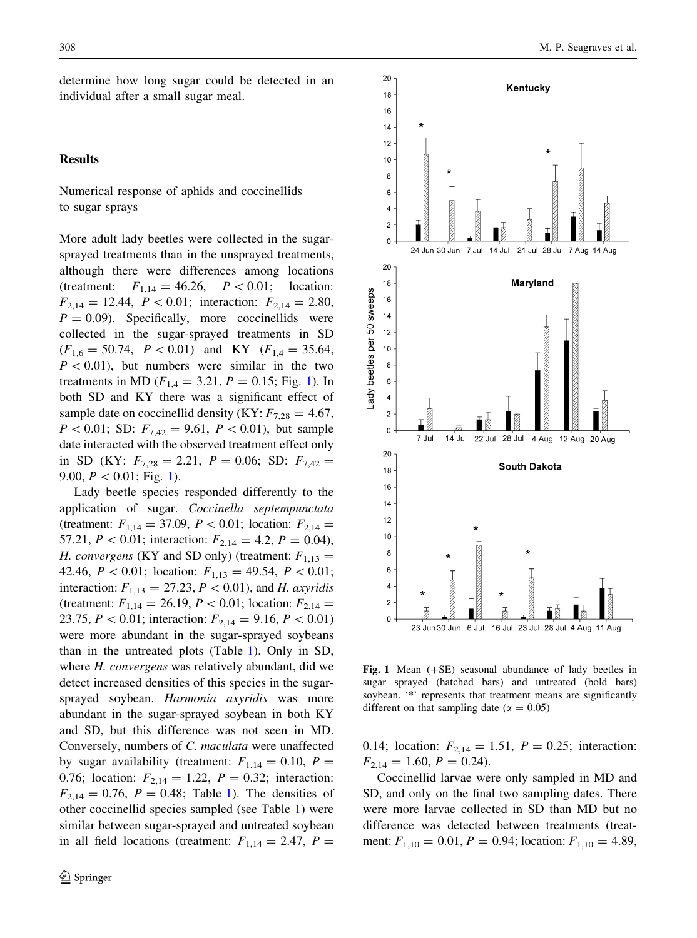determine how long sugar could be detected in an individual after a small sugar meal.

## Results

Numerical response of aphids and coccinellids to sugar sprays

More adult lady beetles were collected in the sugarsprayed treatments than in the unsprayed treatments, although there were differences among locations (treatment:  $F_{1,14} = 46.26$ ,  $P < 0.01$ ; location:  $F_{2,14} = 12.44, P < 0.01$ ; interaction:  $F_{2,14} = 2.80$ ,  $P = 0.09$ . Specifically, more coccinellids were collected in the sugar-sprayed treatments in SD  $(F_{1,6} = 50.74, P < 0.01)$  and KY  $(F_{1,4} = 35.64,$  $P<0.01$ ), but numbers were similar in the two treatments in MD ( $F_{1,4} = 3.21, P = 0.15$ ; Fig. 1). In both SD and KY there was a significant effect of sample date on coccinellid density (KY:  $F_{7,28} = 4.67$ ,  $P < 0.01$ ; SD:  $F_{7,42} = 9.61, P < 0.01$ , but sample date interacted with the observed treatment effect only in SD (KY:  $F_{7,28} = 2.21$ ,  $P = 0.06$ ; SD:  $F_{7,42} =$ 9.00,  $P < 0.01$ ; Fig. 1).

Lady beetle species responded differently to the application of sugar. Coccinella septempunctata (treatment:  $F_{1,14} = 37.09$ ,  $P < 0.01$ ; location:  $F_{2,14} =$ 57.21,  $P < 0.01$ ; interaction:  $F_{2,14} = 4.2, P = 0.04$ ), H. convergens (KY and SD only) (treatment:  $F_{1,13} =$ 42.46,  $P \lt 0.01$ ; location:  $F_{1,13} = 49.54$ ,  $P \lt 0.01$ ; interaction:  $F_{1,13} = 27.23, P < 0.01$ , and H. axyridis (treatment:  $F_{1,14} = 26.19, P < 0.01$ ; location:  $F_{2,14} =$ 23.75,  $P < 0.01$ ; interaction:  $F_{2,14} = 9.16, P < 0.01$ ) were more abundant in the sugar-sprayed soybeans than in the untreated plots (Table [1](#page-4-0)). Only in SD, where *H. convergens* was relatively abundant, did we detect increased densities of this species in the sugarsprayed soybean. Harmonia axyridis was more abundant in the sugar-sprayed soybean in both KY and SD, but this difference was not seen in MD. Conversely, numbers of C. maculata were unaffected by sugar availability (treatment:  $F_{1,14} = 0.10, P =$ 0.76; location:  $F_{2,14} = 1.22$ ,  $P = 0.32$ ; interaction:  $F_{2,14} = 0.76$  $F_{2,14} = 0.76$  $F_{2,14} = 0.76$ ,  $P = 0.48$ ; Table 1). The densities of other coccinellid species sampled (see Table [1](#page-4-0)) were similar between sugar-sprayed and untreated soybean in all field locations (treatment:  $F_{1,14} = 2.47$ ,  $P =$ 



Fig. 1 Mean  $(+SE)$  seasonal abundance of lady beetles in sugar sprayed (hatched bars) and untreated (bold bars) soybean. '\*' represents that treatment means are significantly different on that sampling date ( $\alpha = 0.05$ )

0.14; location:  $F_{2,14} = 1.51$ ,  $P = 0.25$ ; interaction:  $F_{2,14} = 1.60, P = 0.24.$ 

Coccinellid larvae were only sampled in MD and SD, and only on the final two sampling dates. There were more larvae collected in SD than MD but no difference was detected between treatments (treatment:  $F_{1,10} = 0.01, P = 0.94$ ; location:  $F_{1,10} = 4.89$ ,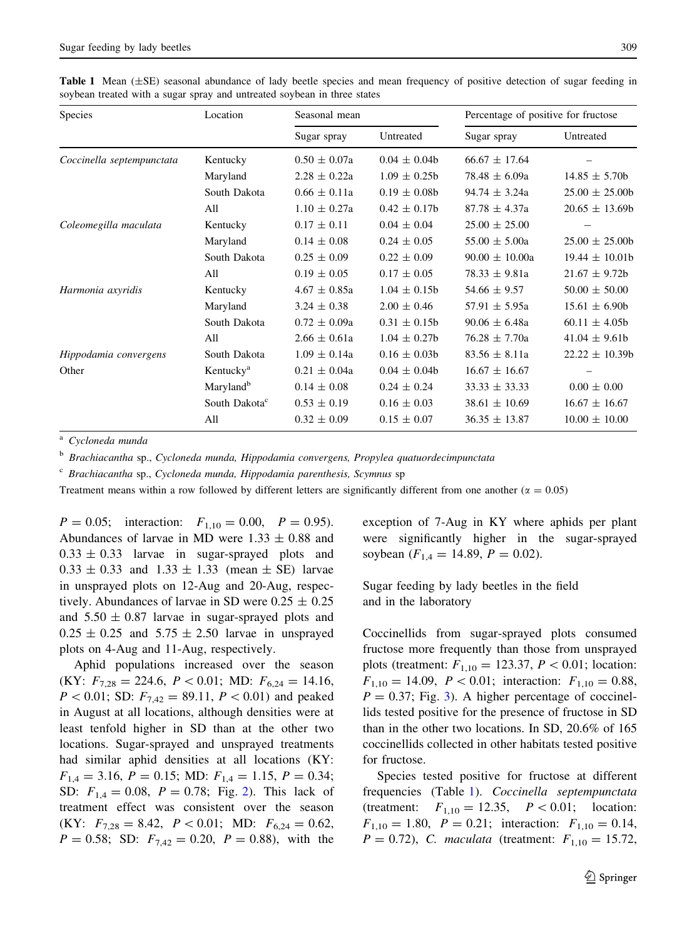<span id="page-4-0"></span>

|  |  | <b>Table 1</b> Mean $(\pm SE)$ seasonal abundance of lady beetle species and mean frequency of positive detection of sugar feeding in |  |  |  |  |  |  |  |
|--|--|---------------------------------------------------------------------------------------------------------------------------------------|--|--|--|--|--|--|--|
|  |  | soybean treated with a sugar spray and untreated soybean in three states                                                              |  |  |  |  |  |  |  |

| <b>Species</b>            | Location                  | Seasonal mean    |                   | Percentage of positive for fructose |                    |  |  |
|---------------------------|---------------------------|------------------|-------------------|-------------------------------------|--------------------|--|--|
|                           |                           | Sugar spray      | Untreated         | Sugar spray                         | Untreated          |  |  |
| Coccinella septempunctata | Kentucky                  | $0.50 \pm 0.07a$ | $0.04 \pm 0.04$   | $66.67 \pm 17.64$                   |                    |  |  |
|                           | Maryland                  | $2.28 \pm 0.22a$ | $1.09 \pm 0.25$   | $78.48 \pm 6.09a$                   | $14.85 \pm 5.70b$  |  |  |
|                           | South Dakota              | $0.66 \pm 0.11a$ | $0.19 \pm 0.08b$  | $94.74 \pm 3.24a$                   | $25.00 \pm 25.00$  |  |  |
|                           | All                       | $1.10 \pm 0.27a$ | $0.42 \pm 0.17$ b | $87.78 \pm 4.37a$                   | $20.65 \pm 13.69b$ |  |  |
| Coleomegilla maculata     | Kentucky                  | $0.17 \pm 0.11$  | $0.04 \pm 0.04$   | $25.00 \pm 25.00$                   |                    |  |  |
|                           | Maryland                  | $0.14 \pm 0.08$  | $0.24 \pm 0.05$   | $55.00 \pm 5.00a$                   | $25.00 \pm 25.00$  |  |  |
|                           | South Dakota              | $0.25 \pm 0.09$  | $0.22 \pm 0.09$   | $90.00 \pm 10.00a$                  | $19.44 \pm 10.01b$ |  |  |
|                           | All                       | $0.19 \pm 0.05$  | $0.17 \pm 0.05$   | $78.33 \pm 9.81a$                   | $21.67 \pm 9.72b$  |  |  |
| Harmonia axyridis         | Kentucky                  | $4.67 \pm 0.85a$ | $1.04 \pm 0.15b$  | $54.66 \pm 9.57$                    | $50.00 \pm 50.00$  |  |  |
|                           | Maryland                  | $3.24 \pm 0.38$  | $2.00 \pm 0.46$   | $57.91 \pm 5.95a$                   | $15.61 \pm 6.90b$  |  |  |
|                           | South Dakota              | $0.72 \pm 0.09a$ | $0.31 \pm 0.15b$  | $90.06 \pm 6.48a$                   | $60.11 \pm 4.05b$  |  |  |
|                           | All                       | $2.66 \pm 0.61a$ | $1.04 \pm 0.27$   | $76.28 \pm 7.70a$                   | $41.04 \pm 9.61b$  |  |  |
| Hippodamia convergens     | South Dakota              | $1.09 \pm 0.14a$ | $0.16 \pm 0.03b$  | $83.56 \pm 8.11a$                   | $22.22 \pm 10.39b$ |  |  |
| Other                     | Kentucky <sup>a</sup>     | $0.21 \pm 0.04a$ | $0.04 \pm 0.04$   | $16.67 \pm 16.67$                   |                    |  |  |
|                           | Maryland <sup>b</sup>     | $0.14 \pm 0.08$  | $0.24 \pm 0.24$   | $33.33 \pm 33.33$                   | $0.00 \pm 0.00$    |  |  |
|                           | South Dakota <sup>c</sup> | $0.53 \pm 0.19$  | $0.16 \pm 0.03$   | $38.61 \pm 10.69$                   | $16.67 \pm 16.67$  |  |  |
|                           | All                       | $0.32 \pm 0.09$  | $0.15 \pm 0.07$   | $36.35 \pm 13.87$                   | $10.00 \pm 10.00$  |  |  |

Cycloneda munda

<sup>b</sup> Brachiacantha sp., Cycloneda munda, Hippodamia convergens, Propylea quatuordecimpunctata

 $\degree$  Brachiacantha sp., Cycloneda munda, Hippodamia parenthesis, Scymnus sp

Treatment means within a row followed by different letters are significantly different from one another ( $\alpha = 0.05$ )

 $P = 0.05$ ; interaction:  $F_{1,10} = 0.00$ ,  $P = 0.95$ ). Abundances of larvae in MD were  $1.33 \pm 0.88$  and  $0.33 \pm 0.33$  larvae in sugar-sprayed plots and  $0.33 \pm 0.33$  and  $1.33 \pm 1.33$  (mean  $\pm$  SE) larvae in unsprayed plots on 12-Aug and 20-Aug, respectively. Abundances of larvae in SD were  $0.25 \pm 0.25$ and  $5.50 \pm 0.87$  larvae in sugar-sprayed plots and  $0.25 \pm 0.25$  and  $5.75 \pm 2.50$  larvae in unsprayed plots on 4-Aug and 11-Aug, respectively.

Aphid populations increased over the season (KY:  $F_{7,28} = 224.6, P < 0.01; \text{ MD: } F_{6,24} = 14.16,$  $P < 0.01$ ; SD:  $F_{7,42} = 89.11, P < 0.01$  and peaked in August at all locations, although densities were at least tenfold higher in SD than at the other two locations. Sugar-sprayed and unsprayed treatments had similar aphid densities at all locations (KY:  $F_{1,4} = 3.16, P = 0.15; M.D: F_{1,4} = 1.15, P = 0.34;$ SD:  $F_{1,4} = 0.08$ ,  $P = 0.78$ ; Fig. [2](#page-5-0)). This lack of treatment effect was consistent over the season (KY:  $F_{7,28} = 8.42, P < 0.01$ ; MD:  $F_{6,24} = 0.62$ ,  $P = 0.58$ ; SD:  $F_{7,42} = 0.20$ ,  $P = 0.88$ ), with the

exception of 7-Aug in KY where aphids per plant were significantly higher in the sugar-sprayed soybean  $(F_{1,4} = 14.89, P = 0.02)$ .

Sugar feeding by lady beetles in the field and in the laboratory

Coccinellids from sugar-sprayed plots consumed fructose more frequently than those from unsprayed plots (treatment:  $F_{1,10} = 123.37, P < 0.01$ ; location:  $F_{1,10} = 14.09, P < 0.01;$  interaction:  $F_{1,10} = 0.88$ ,  $P = 0.37$ ; Fig. [3\)](#page-5-0). A higher percentage of coccinellids tested positive for the presence of fructose in SD than in the other two locations. In SD, 20.6% of 165 coccinellids collected in other habitats tested positive for fructose.

Species tested positive for fructose at different frequencies (Table 1). Coccinella septempunctata (treatment:  $F_{1,10} = 12.35, P < 0.01;$  location:  $F_{1,10} = 1.80$ ,  $P = 0.21$ ; interaction:  $F_{1,10} = 0.14$ ,  $P = 0.72$ ), C. maculata (treatment:  $F_{1,10} = 15.72$ ,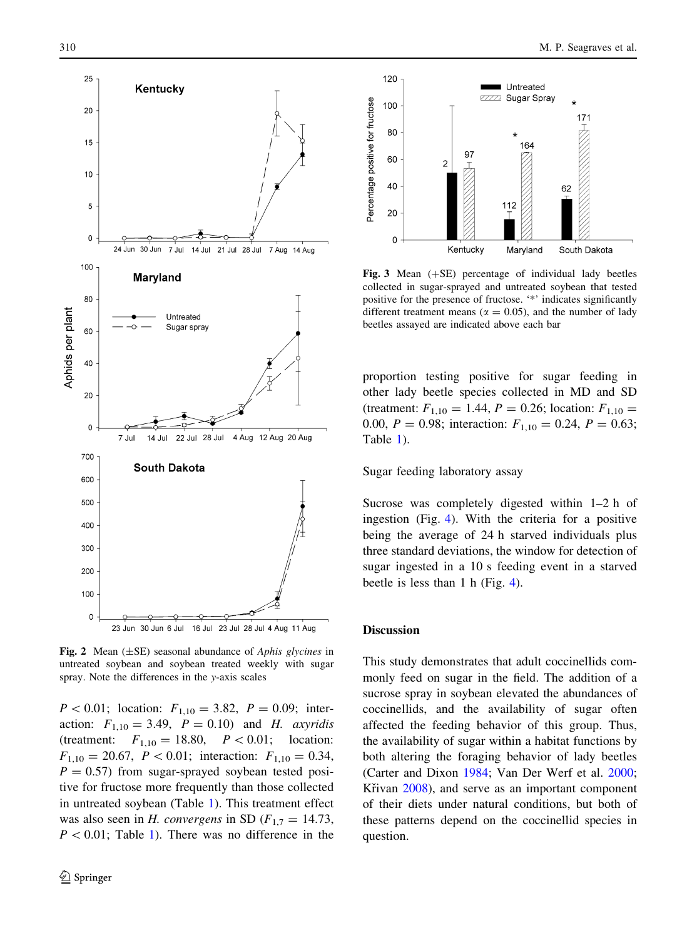<span id="page-5-0"></span>

**Fig. 2** Mean  $(\pm SE)$  seasonal abundance of Aphis glycines in untreated soybean and soybean treated weekly with sugar spray. Note the differences in the y-axis scales

 $P < 0.01$ ; location:  $F_{1,10} = 3.82$ ,  $P = 0.09$ ; interaction:  $F_{1,10} = 3.49$ ,  $P = 0.10$ ) and H. axyridis (treatment:  $F_{1,10} = 18.80, P < 0.01;$  location:  $F_{1,10} = 20.67, P < 0.01;$  interaction:  $F_{1,10} = 0.34,$  $P = 0.57$ ) from sugar-sprayed soybean tested positive for fructose more frequently than those collected in untreated soybean (Table [1](#page-4-0)). This treatment effect was also seen in H. convergens in SD ( $F_{1,7} = 14.73$ ,  $P < 0.01$ ; Table [1\)](#page-4-0). There was no difference in the



Fig. 3 Mean  $(+SE)$  percentage of individual lady beetles collected in sugar-sprayed and untreated soybean that tested positive for the presence of fructose. '\*' indicates significantly different treatment means ( $\alpha = 0.05$ ), and the number of lady beetles assayed are indicated above each bar

proportion testing positive for sugar feeding in other lady beetle species collected in MD and SD (treatment:  $F_{1,10} = 1.44$ ,  $P = 0.26$ ; location:  $F_{1,10} =$ 0.00,  $P = 0.98$ ; interaction:  $F_{1,10} = 0.24$ ,  $P = 0.63$ ; Table [1](#page-4-0)).

Sugar feeding laboratory assay

Sucrose was completely digested within 1–2 h of ingestion (Fig. [4](#page-6-0)). With the criteria for a positive being the average of 24 h starved individuals plus three standard deviations, the window for detection of sugar ingested in a 10 s feeding event in a starved beetle is less than 1 h (Fig. [4](#page-6-0)).

#### **Discussion**

This study demonstrates that adult coccinellids commonly feed on sugar in the field. The addition of a sucrose spray in soybean elevated the abundances of coccinellids, and the availability of sugar often affected the feeding behavior of this group. Thus, the availability of sugar within a habitat functions by both altering the foraging behavior of lady beetles (Carter and Dixon [1984;](#page-7-0) Van Der Werf et al. [2000](#page-8-0); Křivan [2008](#page-8-0)), and serve as an important component of their diets under natural conditions, but both of these patterns depend on the coccinellid species in question.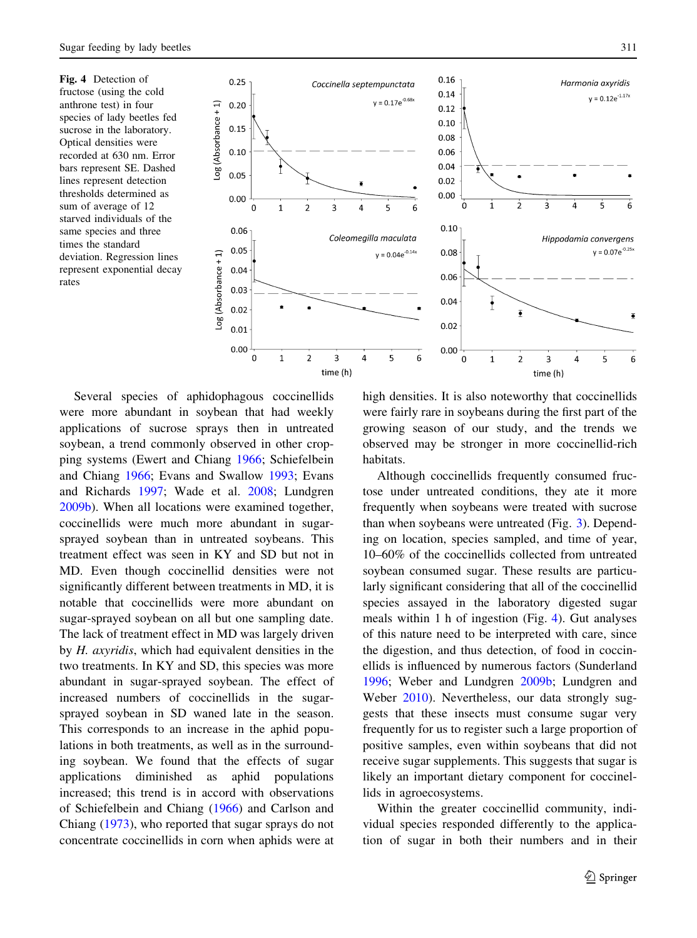<span id="page-6-0"></span>Fig. 4 Detection of fructose (using the cold anthrone test) in four species of lady beetles fed sucrose in the laboratory. Optical densities were recorded at 630 nm. Error bars represent SE. Dashed lines represent detection thresholds determined as sum of average of 12 starved individuals of the same species and three times the standard deviation. Regression lines represent exponential decay rates



Several species of aphidophagous coccinellids were more abundant in soybean that had weekly applications of sucrose sprays then in untreated soybean, a trend commonly observed in other cropping systems (Ewert and Chiang [1966;](#page-8-0) Schiefelbein and Chiang [1966](#page-8-0); Evans and Swallow [1993;](#page-8-0) Evans and Richards [1997](#page-8-0); Wade et al. [2008;](#page-8-0) Lundgren [2009b\)](#page-8-0). When all locations were examined together, coccinellids were much more abundant in sugarsprayed soybean than in untreated soybeans. This treatment effect was seen in KY and SD but not in MD. Even though coccinellid densities were not significantly different between treatments in MD, it is notable that coccinellids were more abundant on sugar-sprayed soybean on all but one sampling date. The lack of treatment effect in MD was largely driven by H. axyridis, which had equivalent densities in the two treatments. In KY and SD, this species was more abundant in sugar-sprayed soybean. The effect of increased numbers of coccinellids in the sugarsprayed soybean in SD waned late in the season. This corresponds to an increase in the aphid populations in both treatments, as well as in the surrounding soybean. We found that the effects of sugar applications diminished as aphid populations increased; this trend is in accord with observations of Schiefelbein and Chiang [\(1966](#page-8-0)) and Carlson and Chiang ([1973\)](#page-7-0), who reported that sugar sprays do not concentrate coccinellids in corn when aphids were at

high densities. It is also noteworthy that coccinellids were fairly rare in soybeans during the first part of the growing season of our study, and the trends we observed may be stronger in more coccinellid-rich habitats.

Although coccinellids frequently consumed fructose under untreated conditions, they ate it more frequently when soybeans were treated with sucrose than when soybeans were untreated (Fig. [3\)](#page-5-0). Depending on location, species sampled, and time of year, 10–60% of the coccinellids collected from untreated soybean consumed sugar. These results are particularly significant considering that all of the coccinellid species assayed in the laboratory digested sugar meals within 1 h of ingestion (Fig. 4). Gut analyses of this nature need to be interpreted with care, since the digestion, and thus detection, of food in coccinellids is influenced by numerous factors (Sunderland [1996;](#page-8-0) Weber and Lundgren [2009b;](#page-9-0) Lundgren and Weber [2010](#page-8-0)). Nevertheless, our data strongly suggests that these insects must consume sugar very frequently for us to register such a large proportion of positive samples, even within soybeans that did not receive sugar supplements. This suggests that sugar is likely an important dietary component for coccinellids in agroecosystems.

Within the greater coccinellid community, individual species responded differently to the application of sugar in both their numbers and in their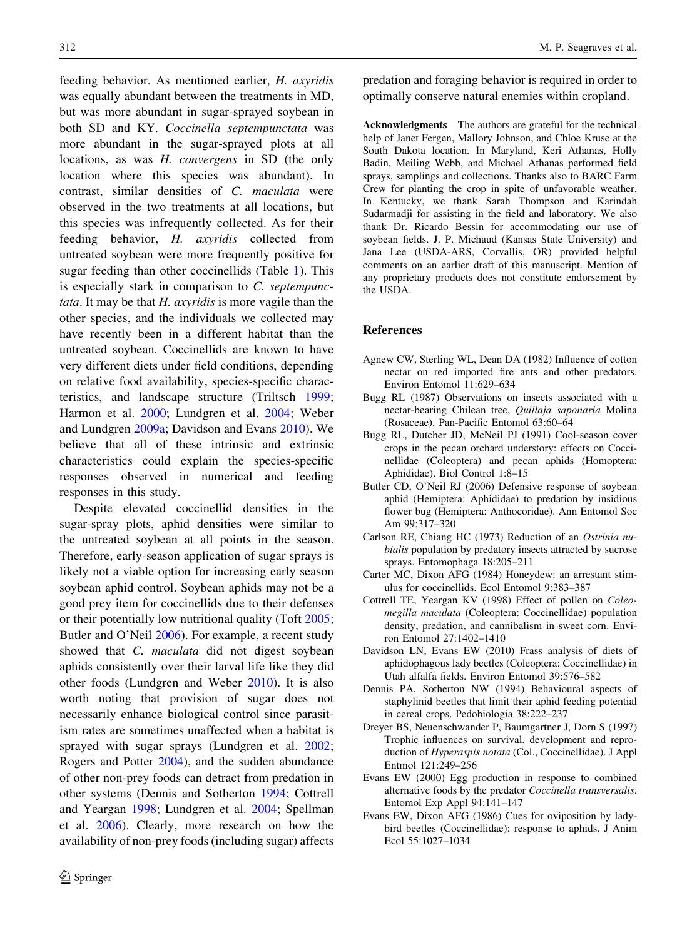<span id="page-7-0"></span>feeding behavior. As mentioned earlier, H. axyridis was equally abundant between the treatments in MD, but was more abundant in sugar-sprayed soybean in both SD and KY. Coccinella septempunctata was more abundant in the sugar-sprayed plots at all locations, as was H. convergens in SD (the only location where this species was abundant). In contrast, similar densities of C. maculata were observed in the two treatments at all locations, but this species was infrequently collected. As for their feeding behavior, H. axyridis collected from untreated soybean were more frequently positive for sugar feeding than other coccinellids (Table [1](#page-4-0)). This is especially stark in comparison to C. septempunc*tata*. It may be that  $H$ . *axyridis* is more vagile than the other species, and the individuals we collected may have recently been in a different habitat than the untreated soybean. Coccinellids are known to have very different diets under field conditions, depending on relative food availability, species-specific characteristics, and landscape structure (Triltsch [1999](#page-8-0); Harmon et al. [2000;](#page-8-0) Lundgren et al. [2004](#page-8-0); Weber and Lundgren [2009a;](#page-9-0) Davidson and Evans 2010). We believe that all of these intrinsic and extrinsic characteristics could explain the species-specific responses observed in numerical and feeding responses in this study.

Despite elevated coccinellid densities in the sugar-spray plots, aphid densities were similar to the untreated soybean at all points in the season. Therefore, early-season application of sugar sprays is likely not a viable option for increasing early season soybean aphid control. Soybean aphids may not be a good prey item for coccinellids due to their defenses or their potentially low nutritional quality (Toft [2005](#page-8-0); Butler and O'Neil 2006). For example, a recent study showed that *C. maculata* did not digest soybean aphids consistently over their larval life like they did other foods (Lundgren and Weber [2010](#page-8-0)). It is also worth noting that provision of sugar does not necessarily enhance biological control since parasitism rates are sometimes unaffected when a habitat is sprayed with sugar sprays (Lundgren et al. [2002](#page-8-0); Rogers and Potter [2004](#page-8-0)), and the sudden abundance of other non-prey foods can detract from predation in other systems (Dennis and Sotherton 1994; Cottrell and Yeargan 1998; Lundgren et al. [2004;](#page-8-0) Spellman et al. [2006\)](#page-8-0). Clearly, more research on how the availability of non-prey foods (including sugar) affects

predation and foraging behavior is required in order to optimally conserve natural enemies within cropland.

Acknowledgments The authors are grateful for the technical help of Janet Fergen, Mallory Johnson, and Chloe Kruse at the South Dakota location. In Maryland, Keri Athanas, Holly Badin, Meiling Webb, and Michael Athanas performed field sprays, samplings and collections. Thanks also to BARC Farm Crew for planting the crop in spite of unfavorable weather. In Kentucky, we thank Sarah Thompson and Karindah Sudarmadji for assisting in the field and laboratory. We also thank Dr. Ricardo Bessin for accommodating our use of soybean fields. J. P. Michaud (Kansas State University) and Jana Lee (USDA-ARS, Corvallis, OR) provided helpful comments on an earlier draft of this manuscript. Mention of any proprietary products does not constitute endorsement by the USDA.

## References

- Agnew CW, Sterling WL, Dean DA (1982) Influence of cotton nectar on red imported fire ants and other predators. Environ Entomol 11:629–634
- Bugg RL (1987) Observations on insects associated with a nectar-bearing Chilean tree, Quillaja saponaria Molina (Rosaceae). Pan-Pacific Entomol 63:60–64
- Bugg RL, Dutcher JD, McNeil PJ (1991) Cool-season cover crops in the pecan orchard understory: effects on Coccinellidae (Coleoptera) and pecan aphids (Homoptera: Aphididae). Biol Control 1:8–15
- Butler CD, O'Neil RJ (2006) Defensive response of soybean aphid (Hemiptera: Aphididae) to predation by insidious flower bug (Hemiptera: Anthocoridae). Ann Entomol Soc Am 99:317–320
- Carlson RE, Chiang HC (1973) Reduction of an Ostrinia nubialis population by predatory insects attracted by sucrose sprays. Entomophaga 18:205–211
- Carter MC, Dixon AFG (1984) Honeydew: an arrestant stimulus for coccinellids. Ecol Entomol 9:383–387
- Cottrell TE, Yeargan KV (1998) Effect of pollen on Coleomegilla maculata (Coleoptera: Coccinellidae) population density, predation, and cannibalism in sweet corn. Environ Entomol 27:1402–1410
- Davidson LN, Evans EW (2010) Frass analysis of diets of aphidophagous lady beetles (Coleoptera: Coccinellidae) in Utah alfalfa fields. Environ Entomol 39:576–582
- Dennis PA, Sotherton NW (1994) Behavioural aspects of staphylinid beetles that limit their aphid feeding potential in cereal crops. Pedobiologia 38:222–237
- Dreyer BS, Neuenschwander P, Baumgartner J, Dorn S (1997) Trophic influences on survival, development and reproduction of Hyperaspis notata (Col., Coccinellidae). J Appl Entmol 121:249–256
- Evans EW (2000) Egg production in response to combined alternative foods by the predator Coccinella transversalis. Entomol Exp Appl 94:141–147
- Evans EW, Dixon AFG (1986) Cues for oviposition by ladybird beetles (Coccinellidae): response to aphids. J Anim Ecol 55:1027–1034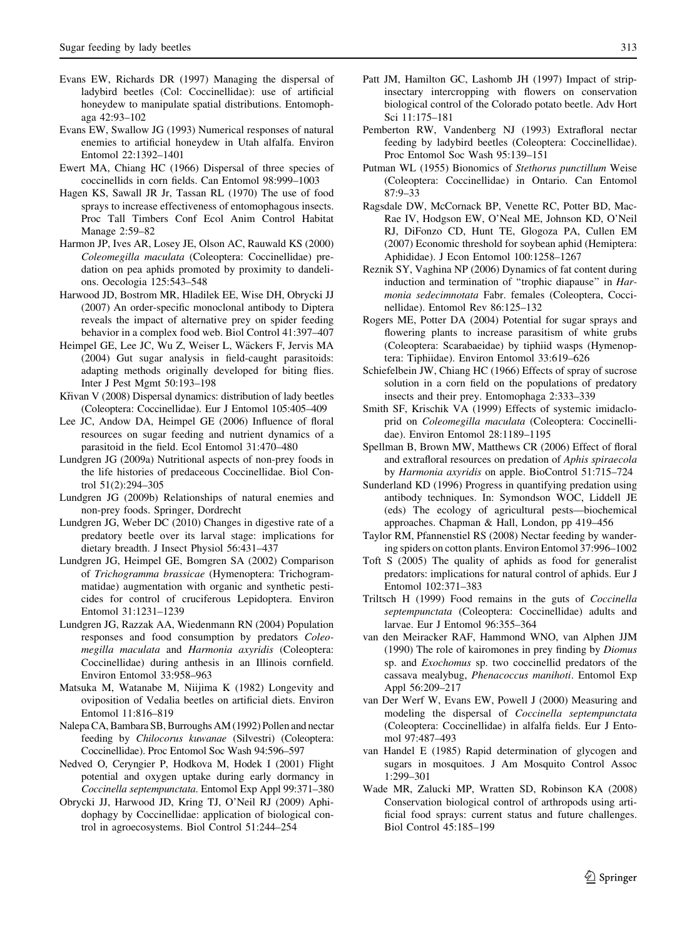- <span id="page-8-0"></span>Evans EW, Richards DR (1997) Managing the dispersal of ladybird beetles (Col: Coccinellidae): use of artificial honeydew to manipulate spatial distributions. Entomophaga 42:93–102
- Evans EW, Swallow JG (1993) Numerical responses of natural enemies to artificial honeydew in Utah alfalfa. Environ Entomol 22:1392–1401
- Ewert MA, Chiang HC (1966) Dispersal of three species of coccinellids in corn fields. Can Entomol 98:999–1003
- Hagen KS, Sawall JR Jr, Tassan RL (1970) The use of food sprays to increase effectiveness of entomophagous insects. Proc Tall Timbers Conf Ecol Anim Control Habitat Manage 2:59–82
- Harmon JP, Ives AR, Losey JE, Olson AC, Rauwald KS (2000) Coleomegilla maculata (Coleoptera: Coccinellidae) predation on pea aphids promoted by proximity to dandelions. Oecologia 125:543–548
- Harwood JD, Bostrom MR, Hladilek EE, Wise DH, Obrycki JJ (2007) An order-specific monoclonal antibody to Diptera reveals the impact of alternative prey on spider feeding behavior in a complex food web. Biol Control 41:397–407
- Heimpel GE, Lee JC, Wu Z, Weiser L, Wäckers F, Jervis MA (2004) Gut sugar analysis in field-caught parasitoids: adapting methods originally developed for biting flies. Inter J Pest Mgmt 50:193–198
- Křivan V (2008) Dispersal dynamics: distribution of lady beetles (Coleoptera: Coccinellidae). Eur J Entomol 105:405–409
- Lee JC, Andow DA, Heimpel GE (2006) Influence of floral resources on sugar feeding and nutrient dynamics of a parasitoid in the field. Ecol Entomol 31:470–480
- Lundgren JG (2009a) Nutritional aspects of non-prey foods in the life histories of predaceous Coccinellidae. Biol Control 51(2):294–305
- Lundgren JG (2009b) Relationships of natural enemies and non-prey foods. Springer, Dordrecht
- Lundgren JG, Weber DC (2010) Changes in digestive rate of a predatory beetle over its larval stage: implications for dietary breadth. J Insect Physiol 56:431–437
- Lundgren JG, Heimpel GE, Bomgren SA (2002) Comparison of Trichogramma brassicae (Hymenoptera: Trichogrammatidae) augmentation with organic and synthetic pesticides for control of cruciferous Lepidoptera. Environ Entomol 31:1231–1239
- Lundgren JG, Razzak AA, Wiedenmann RN (2004) Population responses and food consumption by predators Coleomegilla maculata and Harmonia axyridis (Coleoptera: Coccinellidae) during anthesis in an Illinois cornfield. Environ Entomol 33:958–963
- Matsuka M, Watanabe M, Niijima K (1982) Longevity and oviposition of Vedalia beetles on artificial diets. Environ Entomol 11:816–819
- Nalepa CA, Bambara SB, Burroughs AM (1992) Pollen and nectar feeding by Chilocorus kuwanae (Silvestri) (Coleoptera: Coccinellidae). Proc Entomol Soc Wash 94:596–597
- Nedved O, Ceryngier P, Hodkova M, Hodek I (2001) Flight potential and oxygen uptake during early dormancy in Coccinella septempunctata. Entomol Exp Appl 99:371–380
- Obrycki JJ, Harwood JD, Kring TJ, O'Neil RJ (2009) Aphidophagy by Coccinellidae: application of biological control in agroecosystems. Biol Control 51:244–254
- Patt JM, Hamilton GC, Lashomb JH (1997) Impact of stripinsectary intercropping with flowers on conservation biological control of the Colorado potato beetle. Adv Hort Sci 11:175–181
- Pemberton RW, Vandenberg NJ (1993) Extrafloral nectar feeding by ladybird beetles (Coleoptera: Coccinellidae). Proc Entomol Soc Wash 95:139–151
- Putman WL (1955) Bionomics of Stethorus punctillum Weise (Coleoptera: Coccinellidae) in Ontario. Can Entomol 87:9–33
- Ragsdale DW, McCornack BP, Venette RC, Potter BD, Mac-Rae IV, Hodgson EW, O'Neal ME, Johnson KD, O'Neil RJ, DiFonzo CD, Hunt TE, Glogoza PA, Cullen EM (2007) Economic threshold for soybean aphid (Hemiptera: Aphididae). J Econ Entomol 100:1258–1267
- Reznik SY, Vaghina NP (2006) Dynamics of fat content during induction and termination of "trophic diapause" in Harmonia sedecimnotata Fabr. females (Coleoptera, Coccinellidae). Entomol Rev 86:125–132
- Rogers ME, Potter DA (2004) Potential for sugar sprays and flowering plants to increase parasitism of white grubs (Coleoptera: Scarabaeidae) by tiphiid wasps (Hymenoptera: Tiphiidae). Environ Entomol 33:619–626
- Schiefelbein JW, Chiang HC (1966) Effects of spray of sucrose solution in a corn field on the populations of predatory insects and their prey. Entomophaga 2:333–339
- Smith SF, Krischik VA (1999) Effects of systemic imidacloprid on Coleomegilla maculata (Coleoptera: Coccinellidae). Environ Entomol 28:1189–1195
- Spellman B, Brown MW, Matthews CR (2006) Effect of floral and extrafloral resources on predation of Aphis spiraecola by Harmonia axyridis on apple. BioControl 51:715–724
- Sunderland KD (1996) Progress in quantifying predation using antibody techniques. In: Symondson WOC, Liddell JE (eds) The ecology of agricultural pests—biochemical approaches. Chapman & Hall, London, pp 419–456
- Taylor RM, Pfannenstiel RS (2008) Nectar feeding by wandering spiders on cotton plants. Environ Entomol 37:996–1002
- Toft S (2005) The quality of aphids as food for generalist predators: implications for natural control of aphids. Eur J Entomol 102:371–383
- Triltsch H (1999) Food remains in the guts of Coccinella septempunctata (Coleoptera: Coccinellidae) adults and larvae. Eur J Entomol 96:355–364
- van den Meiracker RAF, Hammond WNO, van Alphen JJM (1990) The role of kairomones in prey finding by Diomus sp. and Exochomus sp. two coccinellid predators of the cassava mealybug, Phenacoccus manihoti. Entomol Exp Appl 56:209–217
- van Der Werf W, Evans EW, Powell J (2000) Measuring and modeling the dispersal of Coccinella septempunctata (Coleoptera: Coccinellidae) in alfalfa fields. Eur J Entomol 97:487–493
- van Handel E (1985) Rapid determination of glycogen and sugars in mosquitoes. J Am Mosquito Control Assoc 1:299–301
- Wade MR, Zalucki MP, Wratten SD, Robinson KA (2008) Conservation biological control of arthropods using artificial food sprays: current status and future challenges. Biol Control 45:185–199